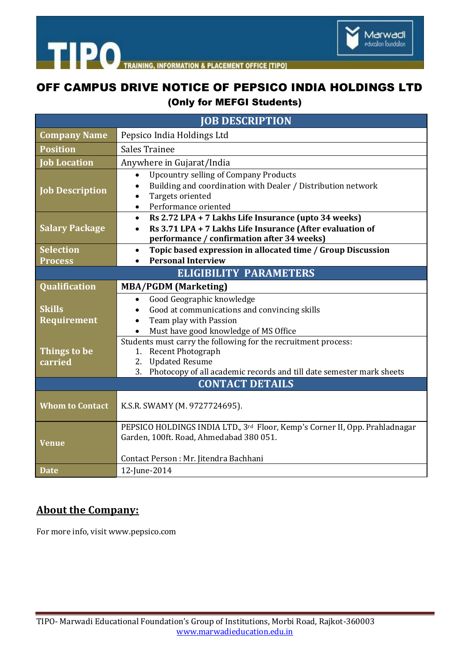

## OFF CAMPUS DRIVE NOTICE OF PEPSICO INDIA HOLDINGS LTD (Only for MEFGI Students)

| <b>JOB DESCRIPTION</b>        |                                                                                                                                                                                                               |
|-------------------------------|---------------------------------------------------------------------------------------------------------------------------------------------------------------------------------------------------------------|
| <b>Company Name</b>           | Pepsico India Holdings Ltd                                                                                                                                                                                    |
| <b>Position</b>               | <b>Sales Trainee</b>                                                                                                                                                                                          |
| <b>Job Location</b>           | Anywhere in Gujarat/India                                                                                                                                                                                     |
| <b>Job Description</b>        | <b>Upcountry selling of Company Products</b><br>$\bullet$<br>Building and coordination with Dealer / Distribution network<br>Targets oriented<br>Performance oriented<br>$\bullet$                            |
| <b>Salary Package</b>         | Rs 2.72 LPA + 7 Lakhs Life Insurance (upto 34 weeks)<br>$\bullet$<br>Rs 3.71 LPA + 7 Lakhs Life Insurance (After evaluation of<br>$\bullet$<br>performance / confirmation after 34 weeks)                     |
| <b>Selection</b>              | Topic based expression in allocated time / Group Discussion<br>$\bullet$                                                                                                                                      |
| <b>Process</b>                | <b>Personal Interview</b>                                                                                                                                                                                     |
| <b>ELIGIBILITY PARAMETERS</b> |                                                                                                                                                                                                               |
| Qualification                 | <b>MBA/PGDM (Marketing)</b>                                                                                                                                                                                   |
| <b>Skills</b><br>Requirement  | Good Geographic knowledge<br>$\bullet$<br>Good at communications and convincing skills<br>$\bullet$<br>Team play with Passion<br>Must have good knowledge of MS Office<br>$\bullet$                           |
| Things to be<br>carried       | Students must carry the following for the recruitment process:<br><b>Recent Photograph</b><br>1.<br><b>Updated Resume</b><br>2.<br>Photocopy of all academic records and till date semester mark sheets<br>3. |
| <b>CONTACT DETAILS</b>        |                                                                                                                                                                                                               |
| <b>Whom to Contact</b>        | K.S.R. SWAMY (M. 9727724695).                                                                                                                                                                                 |
| Venue                         | PEPSICO HOLDINGS INDIA LTD., 3rd Floor, Kemp's Corner II, Opp. Prahladnagar<br>Garden, 100ft. Road, Ahmedabad 380 051.<br>Contact Person: Mr. Jitendra Bachhani                                               |
| <b>Date</b>                   | 12-June-2014                                                                                                                                                                                                  |

## **About the Company:**

For more info, visit www.pepsico.com